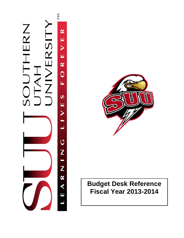



# **Budget Desk Reference Fiscal Year 2013-2014**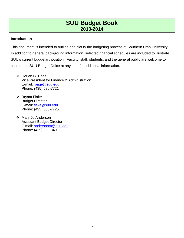#### **Introduction**

This document is intended to outline and clarify the budgeting process at Southern Utah University. In addition to general background information, selected financial schedules are included to illustrate SUU's current budgetary position. Faculty, staff, students, and the general public are welcome to contact the SUU Budget Office at any time for additional information.

- Dorian G. Page Vice President for Finance & Administration E-mail: [page@suu.edu](mailto:page@suu.edu) Phone: (435) 586-7721
- ❖ Bryant Flake Budget Director E-mail: [flake@suu.edu](mailto:flake@suu.edu) Phone: (435) 586-7725
- ❖ Mary Jo Anderson Assistant Budget Director E-mail: [andersonm@suu.edu](mailto:andersonm@suu.edu) Phone: (435) 865-8491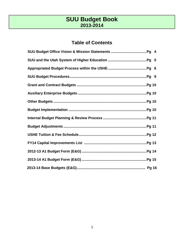## **Table of Contents**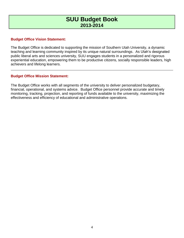#### **Budget Office Vision Statement:**

The Budget Office is dedicated to supporting the mission of Southern Utah University, a dynamic teaching and learning community inspired by its unique natural surroundings. As Utah's designated public liberal arts and sciences university, SUU engages students in a personalized and rigorous experiential education, empowering them to be productive citizens, socially responsible leaders, high achievers and lifelong learners.

#### **Budget Office Mission Statement:**

The Budget Office works with all segments of the university to deliver personalized budgetary, financial, operational, and systems advice. Budget Office personnel provide accurate and timely monitoring, tracking, projection, and reporting of funds available to the university, maximizing the effectiveness and efficiency of educational and administrative operations.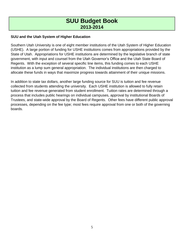### **SUU and the Utah System of Higher Education**

Southern Utah University is one of eight member institutions of the Utah System of Higher Education (USHE). A large portion of funding for USHE institutions comes from appropriations provided by the State of Utah. Appropriations for USHE institutions are determined by the legislative branch of state government, with input and counsel from the Utah Governor's Office and the Utah State Board of Regents. With the exception of several specific line items, this funding comes to each USHE institution as a lump sum general appropriation. The individual institutions are then charged to allocate these funds in ways that maximize progress towards attainment of their unique missions.

In addition to state tax dollars, another large funding source for SUU is tuition and fee revenue collected from students attending the university. Each USHE institution is allowed to fully retain tuition and fee revenue generated from student enrollment. Tuition rates are determined through a process that includes public hearings on individual campuses, approval by institutional Boards of Trustees, and state-wide approval by the Board of Regents. Other fees have different public approval processes, depending on the fee type; most fees require approval from one or both of the governing boards.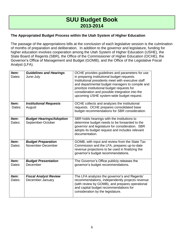### **The Appropriated Budget Process within the Utah System of Higher Education**

The passage of the appropriations bills at the conclusion of each legislative session is the culmination of months of preparation and deliberation. In addition to the governor and legislature, funding for higher education involves cooperation among the Utah System of Higher Education (USHE), the State Board of Regents (SBR), the Office of the Commissioner of Higher Education (OCHE), the Governor's Office of Management and Budget (GOMB), and the Office of the Legislative Fiscal Analyst (LFA).

| Item:<br>Dates: | <b>Guidelines and Hearings</b><br>June-July          | OCHE provides guidelines and parameters for use<br>in preparing institutional budget requests.<br>Institutional presidents meet with executive staff<br>and departmental budget managers to compile and<br>prioritize institutional budget requests for<br>consideration and possible integration into the<br>upcoming USHE system-wide budget request. |
|-----------------|------------------------------------------------------|---------------------------------------------------------------------------------------------------------------------------------------------------------------------------------------------------------------------------------------------------------------------------------------------------------------------------------------------------------|
| Item:<br>Dates: | <b>Institutional Requests</b><br>August              | OCHE collects and analyzes the institutional<br>requests. OCHE prepares consolidated base<br>budget recommendations for SBR consideration.                                                                                                                                                                                                              |
| Item:<br>Dates: | <b>Budget Hearings/Adoption</b><br>September-October | SBR holds hearings with the institutions to<br>determine budget needs to be forwarded to the<br>governor and legislature for consideration. SBR<br>adopts its budget request and includes relevant<br>documentation.                                                                                                                                    |
| Item:<br>Dates: | <b>Budget Preparation</b><br>November-December       | GOMB, with input and review from the State Tax<br>Commission and the LFA, prepares up-to-date<br>revenue projections to be used in finalizing the<br>governor's budget recommendations.                                                                                                                                                                 |
| Item:<br>Dates: | <b>Budget Presentation</b><br>December               | The Governor's Office publicly releases the<br>governor's budget recommendations.                                                                                                                                                                                                                                                                       |
| Item:<br>Dates: | <b>Fiscal Analyst Review</b><br>December-January     | The LFA analyzes the governor's and Regents'<br>recommendations, independently projects revenue<br>(with review by GOMB), and prepares operational<br>and capital budget recommendations for<br>consideration by the legislature.                                                                                                                       |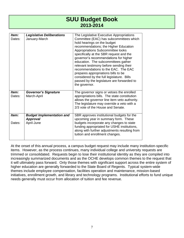| Item:<br>Dates: | <b>Legislative Deliberations</b><br>January-March                 | The Legislative Executive Appropriations<br>Committee (EAC) has subcommittees which<br>hold hearings on the budget<br>recommendations; the Higher Education<br>Appropriations Subcommittee looks<br>specifically at the SBR request and the<br>governor's recommendations for higher<br>education. The subcommittees gather<br>relevant testimony before sending their<br>recommendations to the EAC. The EAC<br>prepares appropriations bills to be<br>considered by the full legislature. Bills<br>passed by the legislature are forwarded to<br>the governor. |
|-----------------|-------------------------------------------------------------------|------------------------------------------------------------------------------------------------------------------------------------------------------------------------------------------------------------------------------------------------------------------------------------------------------------------------------------------------------------------------------------------------------------------------------------------------------------------------------------------------------------------------------------------------------------------|
| Item:<br>Dates: | <b>Governor's Signature</b><br>March-April                        | The governor signs or vetoes the enrolled<br>appropriations bills. The state constitution<br>allows the governor line item veto authority.<br>The legislature may override a veto with a<br>2/3 vote of the House and Senate.                                                                                                                                                                                                                                                                                                                                    |
| Item:<br>Dates: | <b>Budget Implementation and</b><br><b>Approval</b><br>April-June | SBR approves institutional budgets for the<br>upcoming year in summary form. These<br>budgets incorporate any changes to state<br>funding appropriated for USHE institutions,<br>along with further adjustments resulting from<br>tuition and enrollment changes.                                                                                                                                                                                                                                                                                                |

At the onset of this annual process, a campus budget request may include many institution-specific items. However, as the process continues, many individual college and university requests are trimmed or consolidated. Requests begin to lose their institutional identity as they are compiled into increasingly summarized documents and as the OCHE develops common themes to the request that it will ultimately pass forward. Only those themes with significant support across the entire system of higher education are generally forwarded to the State Board of Regents. Typical system-wide themes include employee compensation, facilities operation and maintenance, mission-based initiatives, enrollment growth, and library and technology programs. Institutional efforts to fund unique needs generally must occur from allocation of tuition and fee revenue.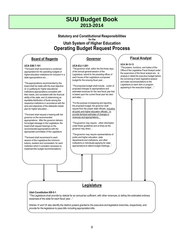#### **Statutory and Constitutional Responsibilities for the Utah System of Higher Education Operating Budget Request Process**

#### **Board of Regents**

#### **UCA 53B-7-101**

"The board shall recommend a combined appropriation for the operating budgets of higher education institutions for inclusion in a state appropriations act…

"The appropriations recommended by the board shall be made with the dual objective of: (i) justifying for higher educational institutions appropriations consistent with their needs, and consistent with the financial ability of the state; and (ii) determining an equitable distribution of funds among the respective institutions in accordance with the aims and objectives of the statewide master plan for higher education.…

"The board shall request a hearing with the governor on the recommended appropriations. After the governor delivers his budget message to the Legislature, the board shall request hearings on the recommended appropriations with the appropriate committees of the Legislature.

"The board shall recommend to each session of the Legislature the minimum tuitions, resident and nonresident, for each institution which it considers necessary to implement the budget recommendations."

### **Governor**

#### **UCA 63J-1-201**

"The governor shall, within the first three days of the annual general session of the Legislature, submit to the presiding officer of each house of the Legislature a proposed budget for the ensuing fiscal year…

"The proposed budget shall include…a plan of proposed changes to appropriations and estimated revenues for the next fiscal year that is based upon the current fiscal year tax laws and rates….

"For the purpose of preparing and reporting the proposed budget, the governor shall require from the proper state officials, including all public and higher education officials…to provide itemized estimates of changes in revenues and appropriations…

"The governor may require…other information under these guidelines and at times as the governor may direct….

"The governor may require representatives of public and higher education, state departments and institutions, and other institutions or individuals applying for state appropriations to attend budget meetings..."

### **Fiscal Analyst**

#### **UCA 36-12-13**

"The powers, functions, and duties of the Office of the Legislative Fiscal Analyst under the supervision of the fiscal analyst are…to analyze in detail the executive budget before the convening of each legislative session and make recommendations to the Legislature on each item or program appearing in the executive budget…."

### **Legislature**

#### **Utah Constitution XIII-5-1**

"The Legislature shall provide by statute for an annual tax sufficient, with other revenues, to defray the estimated ordinary expenses of the state for each fiscal year…"

Articles VI and VII also identify the distinct powers granted to the executive and legislative branches, respectively, and provide for the legislature to pass bills including appropriation bills.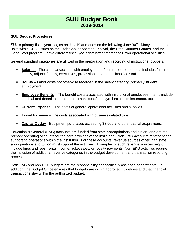### **SUU Budget Procedures**

SUU's primary fiscal year begins on July 1<sup>st</sup> and ends on the following June 30<sup>th</sup>. Many component units within SUU – such as the Utah Shakespearean Festival, the Utah Summer Games, and the Head Start program – have different fiscal years that better match their own operational activities.

Several standard categories are utilized in the preparation and recording of institutional budgets:

- **Salaries** The costs associated with employment of contracted personnel. Includes full-time faculty, adjunct faculty, executives, professional staff and classified staff.
- **Hourly** Labor costs not otherwise recorded in the salary category (primarily student employment).
- **Employee Benefits** The benefit costs associated with institutional employees. Items include medical and dental insurance, retirement benefits, payroll taxes, life insurance, etc.
- **Current Expense** The costs of general operational activities and supplies.
- **Travel Expense** The costs associated with business-related trips.
- **Capital Outlay** Equipment purchases exceeding \$3,000 and other capital acquisitions.

Education & General (E&G) accounts are funded from state appropriations and tuition, and are the primary operating accounts for the core activities of the institution. Non-E&G accounts represent selfsupporting operations within the institution. For these accounts, revenue sources other than state appropriations and tuition must support the activities. Examples of such revenue sources might include fines and fees, rental income, ticket sales, or royalty payments. Non-E&G activities require the inclusion of additional revenue categories in the budget development and transaction reporting process.

Both E&G and non-E&G budgets are the responsibility of specifically assigned departments. In addition, the Budget Office ensures that budgets are within approved guidelines and that financial transactions stay within the authorized budget.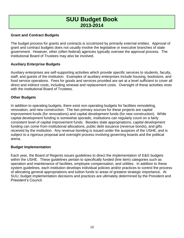#### **Grant and Contract Budgets**

The budget process for grants and contracts is scrutinized by primarily external entities. Approval of grant and contract budgets does not usually involve the legislative or executive branches of state government. However, other (often federal) agencies typically oversee the approval process. The institutional Board of Trustees may also be involved.

#### **Auxiliary Enterprise Budgets**

Auxiliary enterprises are self-supporting activities which provide specific services to students, faculty, staff, and guests of the institution. Examples of auxiliary enterprises include housing, bookstore, and food service operations. Fees for goods and services provided are set at a level sufficient to cover all direct and indirect costs, including renewal and replacement costs. Oversight of these activities rests with the institutional Board of Trustees.

#### **Other Budgets**

In addition to operating budgets, there exist non-operating budgets for facilities remodeling, renovation, and new construction. The two primary sources for these projects are capital improvement funds (for renovations) and capital development funds (for new construction). While capital development funding is somewhat sporadic, institutions can regularly count on a fairly consistent level of capital improvement funds. Besides state appropriations, capital development funding can come from institutional allocations, public debt issuance (revenue bonds), and gifts received by the institution. Any revenue bonding is issued under the auspices of the USHE, and is subject to a rigorous proposal and oversight process involving governing boards and the political arena.

#### **Budget Implementation**

Each year, the Board of Regents issues guidelines to direct the implementation of E&G budgets within the USHE. These guidelines pertain to specifically funded (line item) categories such as operation and maintenance of facilities, employee compensation, and utilities. In addition to these system guidelines, each institution develops individual policies and/or practices to control the process of allocating general appropriations and tuition funds to areas of greatest strategic importance. At SUU, budget implementation decisions and practices are ultimately determined by the President and President's Council.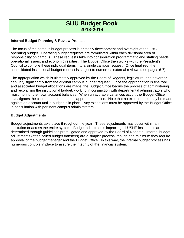### **Internal Budget Planning & Review Process**

The focus of the campus budget process is primarily development and oversight of the E&G operating budget. Operating budget requests are formulated within each divisional area of responsibility on campus. These requests take into consideration programmatic and staffing needs, operational issues, and economic realities. The Budget Office then works with the President's Council to compile these individual items into a single campus request. Once finalized, the consolidated institutional budget request is subject to numerous external reviews (see pages 6-7).

The appropriation which is ultimately approved by the Board of Regents, legislature, and governor can vary significantly from the original campus budget request. Once the appropriation is finalized and associated budget allocations are made, the Budget Office begins the process of administering and reconciling the institutional budget, working in conjunction with departmental administrators who must monitor their own account balances. When unfavorable variances occur, the Budget Office investigates the cause and recommends appropriate action. Note that no expenditures may be made against an account until a budget is in place. Any exceptions must be approved by the Budget Office, in consultation with pertinent campus administrators.

#### **Budget Adjustments**

Budget adjustments take place throughout the year. These adjustments may occur within an institution or across the entire system. Budget adjustments impacting all USHE institutions are determined through guidelines promulgated and approved by the Board of Regents. Internal budget adjustments (often called budget transfers) are a simpler process, though at a minimum they require approval of the budget manager and the Budget Office. In this way, the internal budget process has numerous controls in place to assure the integrity of the financial system.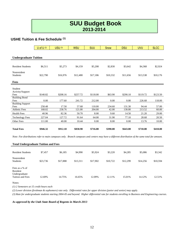### **USHE Tuition & Fee Schedule (1)**

|                                                                                                                                                  | U of $U$ (2) | <b>USU (3)</b> | <b>WSU</b> | <b>SUU</b> | Snow     | <b>DSU</b> | <b>UVU</b> | <b>SLCC</b> |
|--------------------------------------------------------------------------------------------------------------------------------------------------|--------------|----------------|------------|------------|----------|------------|------------|-------------|
|                                                                                                                                                  |              |                |            |            |          |            |            |             |
| <b>Undergraduate Tuition</b>                                                                                                                     |              |                |            |            |          |            |            |             |
|                                                                                                                                                  |              |                |            |            |          |            |            |             |
| <b>Resident Students</b>                                                                                                                         | \$6,511      | \$5,273        | \$4,159    | \$5,208    | \$2,830  | \$3,642    | \$4,368    | \$2,924     |
| Nonresident<br>Students                                                                                                                          | \$22,790     | \$16,976       | \$12,480   | \$17,186   | \$10,332 | \$11,656   | \$13,538   | \$10,176    |
| Fees                                                                                                                                             |              |                |            |            |          |            |            |             |
| Student<br>Activity/Support                                                                                                                      |              |                |            |            |          |            |            |             |
| Fees                                                                                                                                             | \$140.82     | \$208.16       | \$257.72   | \$118.00   | \$63.90  | \$290.10   | \$119.72   | \$123.50    |
| <b>Building Bond</b><br>Fees                                                                                                                     | 0.00         | 177.60         | 241.72     | 212.00     | 0.00     | 0.00       | 226.68     | 118.00      |
| <b>Building Support</b><br>Fees                                                                                                                  | 258.48       | 17.50          | 57.68      | 110.00     | 234.60   | 131.30     | 94.44      | 57.00       |
| <b>Athletic Fees</b>                                                                                                                             | 168.02       | 258.76         | 121.00     | 204.00     | 42.00    | 130.00     | 213.52     | 60.00       |
| <b>Health Fees</b>                                                                                                                               | 40.96        | 82.36          | 50.70      | 8.00       | 9.60     | 14.50      | 21.20      | 29.00       |
| <b>Technology Fees</b>                                                                                                                           | 227.04       | 127.72         | 91.64      | 64.00      | 31.90    | 77.10      | 28.68      | 20.50       |
| Other Fees                                                                                                                                       | 111.00       | 40.00          | 10.44      | 0.00       | 8.00     | 0.00       | 13.76      | 10.00       |
| <b>Total Fees</b>                                                                                                                                | \$946.32     | \$912.10       | \$830.90   | \$716.00   | \$390.00 | \$643.00   | \$718.00   | \$418.00    |
| Note: Fee distributions refer to main campuses only. Branch campuses and centers may have a different distribution of the same total fee amount. |              |                |            |            |          |            |            |             |
| <b>Total Undergraduate Tuition and Fees</b>                                                                                                      |              |                |            |            |          |            |            |             |
|                                                                                                                                                  |              |                |            |            |          |            |            |             |
| <b>Resident Students</b>                                                                                                                         | \$7,457      | \$6,185        | \$4,990    | \$5,924    | \$3,220  | \$4,285    | \$5,086    | \$3,342     |
| Nonresident<br><b>Students</b>                                                                                                                   | \$23,736     | \$17,888       | \$13,311   | \$17,902   | \$10,722 | \$12,299   | \$14,256   | \$10,594    |
| Fees as a % of<br>Resident                                                                                                                       |              |                |            |            |          |            |            |             |

Notes:

Undergraduate

*(1) 2 Semesters at 15 credit hours each*

*(2) Lower division (freshman & sophomore) rate only. Differential rates for upper division (junior and senior) may apply*.

*(3) Rate for undergraduate students starting 2004-05 and beyond. Higher differential rate for students enrolling in Business and Engineering courses.*

Tuition and Fees 12.69% 14.75% 16.65% 12.09% 12.11% 15.01% 14.12% 12.51%

*As approved by the Utah State Board of Regents in March 2013*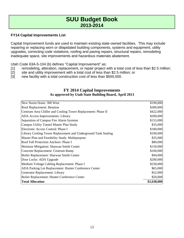### **FY14 Capital Improvements List**

Capital Improvement funds are used to maintain existing state-owned facilities. This may include repairing or replacing worn or dilapidated building components, systems and equipment, utility upgrades, correcting code violations, roofing and paving repairs, structural repairs, remodeling inadequate space, site improvements and hazardous materials abatement.

Utah Code 63A-5-104 (b) defines "Capital Improvement" as:

- [1] remodeling, alteration, replacement, or repair project with a total cost of less than \$2.5 million;
- [2] site and utility improvement with a total cost of less than \$2.5 million; or
- [3] new facility with a total construction cost of less than \$500,000.

#### **FY 2014 Capital Improvements As approved by Utah State Building Board, April 2013**

| New Storm Drain: 300 West                                      | \$190,000   |
|----------------------------------------------------------------|-------------|
| Roof Replacement: Bennion                                      | \$300,000   |
| Centrum Area Chiller and Cooling Tower Replacement: Phase II   | \$422,000   |
| ADA Access Improvements: Library                               | \$200,000   |
| Separation of Campus Fire Alarm Systems                        | \$155,000   |
| Campus Utility Tunnel Master Plan Study                        | \$35,000    |
| Electronic Access Control: Phase I                             | \$180,000   |
| Library Cooling Tower Replacement and Underground Tank Sealing | \$100,000   |
| Master Plan and Feasibility Study: Multipurpose                | \$35,000    |
| Roof Fall Protection Anchors: Phase I                          | \$80,000    |
| Moisture Mitigation: Sharwan Smith Center                      | \$150,000   |
| Concrete Replacement: Centrum Ramp                             | \$100,000   |
| Boiler Replacement: Sharwan Smith Center                       | \$94,000    |
| Door Locks: ADA Upgrade                                        | \$200,000   |
| Medium Voltage Cabling Replacement: Phase I                    | \$230,000   |
| ADA Parking Lot Replacement: Hunter Conference Center          | \$65,000    |
| Generator Replacement: Library                                 | \$52,000    |
| Boiler Replacement: Hunter Conference Center                   | \$50,000    |
| <b>Total Allocation</b>                                        | \$2,638,000 |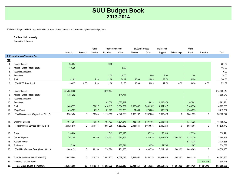FORM A-1 Budget **2012-13**. Appropriated funds expenditures, transfers, and revenues, by line item and program

**Southern Utah University**

**Education & General**

|            |                                           |              |             | Public    | Academic Support |             | <b>Student Services</b> |             | Institutional |              | O&M         |             |              |
|------------|-------------------------------------------|--------------|-------------|-----------|------------------|-------------|-------------------------|-------------|---------------|--------------|-------------|-------------|--------------|
|            |                                           | Instruction  | Research    | Service   | Libraries        | Other       | <b>Athletics</b>        | Other       | Support       | Scholarships | Plant       | Transfers   | Total        |
|            | A. Expenditures & Transfers Out           |              |             |           |                  |             |                         |             |               |              |             |             |              |
| <u>FTE</u> |                                           |              |             |           |                  |             |                         |             |               |              |             |             |              |
| 1.         | <b>Regular Faculty</b>                    | 248.54       |             |           | 9.00             |             |                         |             |               |              |             |             | 257.54       |
| 2.         | Adjunct / Wage Rated Faculty              | 106.20       |             |           |                  | 6.83        |                         |             |               |              |             |             | 113.03       |
| 3.         | <b>Teaching Assistants</b>                |              |             |           |                  |             |                         |             |               |              |             |             | 0.00         |
| 4.         | Executives                                |              |             |           | 1.00             | 10.00       |                         | 3.00        | 9.00          |              | 1.00        |             | 24.00        |
| 5.         | Staff                                     | 41.83        |             | 2.38      | 11.68            | 54.47       | 45.09                   | 48.85       | 83.70         |              | 52.50       |             | 340.50       |
| 6.         | Total FTE (lines 1 to 5)                  | 396.57       | 0.00        | 2.38      | 21.68            | 71.30       | 45.09                   | 51.85       | 92.70         | 0.00         | 53.50       | 0.00        | 735.07       |
|            |                                           |              |             |           |                  |             |                         |             |               |              |             |             |              |
| 7.         | <b>Regular Faculty</b>                    | \$15,050,403 |             |           | \$512,407        |             |                         |             |               |              |             |             | \$15,562,810 |
| 8.         | Adjunct / Wage Rated Faculty              | 1,784,202    |             |           |                  | 114,741     |                         |             |               |              |             |             | 1,898,943    |
| 9.         | <b>Teaching Assistants</b>                |              |             |           |                  |             |                         |             |               |              |             |             | 0            |
| 10.        | Executives                                |              |             |           | 101,000          | 1,032,247   |                         | 325,813     | 1,225,879     |              | 107,842     |             | 2,792,781    |
| 11.        | Staff                                     | 1,489,357    |             | 175,027   | 418,113          | 2,584,209   | 1,933,402               | 2,061,187   | 4,091,317     |              | 2,149,394   |             | 14,902,006   |
| 12.        | <b>Wage Payroll</b>                       | 458,502      |             | 4,237     | 82,175           | 311,306     | 61,890                  | 375,080     | 536,224       |              | 1,384,093   |             | 3,213,507    |
| 13.        | Total Salaries and Wages (lines 7 to 12)  | 18,782,464   | $\mathbf 0$ | 179,264   | 1,113,695        | 4,042,503   | 1,995,292               | 2,762,080   | 5,853,420     | $\mathbf 0$  | 3,641,329   | 0           | 38,370,047   |
|            |                                           |              |             |           |                  |             |                         |             |               |              |             |             |              |
| 14.        | <b>Employee Benefits</b>                  | 7,044,351    |             | 79,850    | 451,403          | 1,524,677   | 936,359                 | 1,197,495   | 2,596,840     |              | 1,334,725   |             | 15,165,700   |
| 15.        | Total Personal Services (lines 13 & 14)   | 25,826,815   | $\mathbf 0$ | 259,114   | 1,565,098        | 5,567,180   | 2,931,651               | 3,959,575   | 8,450,260     | $\mathbf 0$  | 4,976,054   | 0           | 53,535,747   |
|            |                                           |              |             |           |                  |             |                         |             |               |              |             |             |              |
| 16.        | Travel                                    | 230.904      |             |           | 3,542            | 153,373     |                         | 57,259      | 158,543       |              | 27,350      |             | 630,971      |
| 17.        | <b>Current Expense</b>                    | 761,149      |             | 53,159    | 335,132          | 674,952     |                         | 432,915     | 3,002,979     | 1,064,162    | 1,374,310   |             | 7,698,758    |
| 18.        | Fuel and Power                            |              |             |           |                  |             |                         |             |               |              | 2,174,338   |             | 2,174,338    |
| 19.        | Equipment                                 | 17,100       |             |           |                  | 133,511     |                         | 8,576       | 52,764        |              | 112,087     |             | 324,038      |
| 20.        | Total Non-Personal Svcs. (lines 16 to 19) | 1,009,153    | $\mathbf 0$ | 53,159    | 338,674          | 961,836     | $\pmb{0}$               | 498,750     | 3,214,286     | 1,064,162    | 3,688,085   | 0           | 10,828,105   |
|            |                                           |              |             |           |                  |             |                         |             |               |              |             |             |              |
| 21.        | Total Expenditures (line 15 + line 20)    | 26,835,968   | $\mathbf 0$ | 312,273   | 1,903,772        | 6,529,016   | 2,931,651               | 4,458,325   | 11,664,546    | 1,064,162    | 8,664,139   | 0           | 64,363,852   |
|            |                                           |              |             |           |                  |             |                         |             |               |              |             |             |              |
| 22.        | Transfers To Other Funds                  |              |             |           |                  |             |                         |             |               |              |             | 1,504,448   | 1,504,448    |
| 23.        | <b>Total Expenditures &amp; Transfers</b> | \$26,835,968 | \$0         | \$312,273 | \$1,903,772      | \$6,529,016 | \$2,931,651             | \$4,458,325 | \$11,664,546  | \$1,064,162  | \$8,664,139 | \$1,504,448 | \$65,868,300 |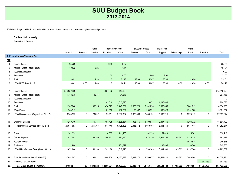FORM A-1 Budget **2013-14**. Appropriated funds expenditures, transfers, and revenues, by line item and program

**Southern Utah University**

**Education & General**

|            |                                           |              |              | Public    | Academic Support |             | <b>Student Services</b> |             | Institutional |              | O&M         |             |              |
|------------|-------------------------------------------|--------------|--------------|-----------|------------------|-------------|-------------------------|-------------|---------------|--------------|-------------|-------------|--------------|
|            |                                           | Instruction  | Research     | Service   | Libraries        | Other       | Athletics               | Other       | Support       | Scholarships | Plant       | Transfers   | Total        |
|            | A. Expenditures & Transfers Out           |              |              |           |                  |             |                         |             |               |              |             |             |              |
| <b>FTE</b> |                                           |              |              |           |                  |             |                         |             |               |              |             |             |              |
| 1.         | Regular Faculty                           | 245.29       |              |           | 9.00             | 0.67        |                         |             |               |              |             |             | 254.96       |
| 2.         | Adjunct / Wage Rated Faculty              | 102.32       |              | 0.25      |                  | 4.44        |                         |             |               |              |             |             | 107.01       |
| 3.         | <b>Teaching Assistants</b>                |              |              |           |                  |             |                         |             |               |              |             |             | 0.00         |
| 4.         | Executives                                |              |              |           | 1.00             | 10.00       |                         | 3.00        | 9.00          |              |             |             | 23.00        |
| 5.         | Staff                                     | 39.01        |              | 2.38      | 12.17            | 51.13       | 43.09                   | 50.87       | 76.86         |              | 49.50       |             | 325.01       |
| 6.         | Total FTE (lines 1 to 5)                  | 386.62       | 0.00         | 2.63      | 22.17            | 66.24       | 43.09                   | 53.87       | 85.86         | 0.00         | 49.50       | 0.00        | 709.98       |
|            |                                           |              |              |           |                  |             |                         |             |               |              |             |             |              |
| 7.         | <b>Regular Faculty</b>                    | \$14,952,039 |              |           | \$521,032        | \$40,658    |                         |             |               |              |             |             | \$15,513,729 |
| 8.         | Adjunct / Wage Rated Faculty              | 1,718,975    |              | 4,237     |                  | 74,546      |                         |             |               |              |             |             | 1,797,758    |
| 9.         | <b>Teaching Assistants</b>                |              |              |           |                  |             |                         |             |               |              |             |             | $\mathbf 0$  |
| 10.        | Executives                                |              |              |           | 102,010          | 1,042,570   |                         | 329,071     | 1,236,034     |              |             |             | 2,709,685    |
| 11.        | Staff                                     | 1,387,640    |              | 165,795   | 424,529          | 2,446,759   | 1,875,729               | 2,141,828   | 3,850,858     |              | 2,041,812   |             | 14,334,950   |
| 12.        | Wage Payroll                              | 708,319      |              |           | 82,380           | 262,531     | 50,967                  | 359,232     | 506,823       |              | 1,331,300   |             | 3,301,552    |
| 13.        | Total Salaries and Wages (lines 7 to 12)  | 18,766,973   | 0            | 170,032   | 1,129,951        | 3,867,064   | 1,926,696               | 2,830,131   | 5,593,715     | 0            | 3,373,112   | 0           | 37,657,674   |
|            |                                           |              |              |           |                  |             |                         |             |               |              |             |             |              |
| 14.        | <b>Employee Benefits</b>                  | 7,250,710    |              | 71,331    | 481,495          | 1,538,334   | 906,776                 | 1,199,977   | 2,847,745     |              | 1,298,332   |             | 15,594,700   |
| 15.        | Total Personal Services (lines 13 & 14)   | 26,017,683   | $\mathbf{0}$ | 241,363   | 1,611,446        | 5,405,398   | 2,833,472               | 4,030,108   | 8,441,460     | $\mathbf{0}$ | 4,671,444   | $\mathbf 0$ | 53,252,374   |
|            |                                           |              |              |           |                  |             |                         |             |               |              |             |             |              |
| 16.        | Travel                                    | 242,329      |              |           | 4,557            | 144,408     |                         | 61,259      | 152,813       |              | 25,582      |             | 630,948      |
| 17.        | <b>Current Expense</b>                    | 817,541      |              | 53,159    | 390,931          | 771,190     |                         | 678,110     | 2,909,252     | 1,105,662    | 1,235,334   |             | 7,961,179    |
| 18.        | Fuel and Power                            |              |              |           |                  |             |                         |             |               |              | 1,945,878   |             | 1,945,878    |
| 19.        | Equipment                                 | 14,994       |              |           |                  | 101,697     |                         |             | 37,895        |              | 90,766      |             | 245,352      |
| 20.        | Total Non-Personal Svcs. (lines 16 to 19) | 1,074,864    | 0            | 53,159    | 395,488          | 1,017,295   | $\mathbf 0$             | 739,369     | 3,099,960     | 1,105,662    | 3,297,560   | 0           | 10,783,357   |
|            |                                           |              |              |           |                  |             |                         |             |               |              |             |             |              |
| 21.        | Total Expenditures (line 15 + line 20)    | 27,092,547   | 0            | 294,522   | 2,006,934        | 6,422,693   | 2,833,472               | 4,769,477   | 11,541,420    | 1,105,662    | 7,969,004   | 0           | 64,035,731   |
| 22.        | Transfers To Other Funds                  |              |              |           |                  |             |                         |             |               |              |             | 1,397,469   | 1,397,469    |
| 23.        | <b>Total Expenditures &amp; Transfers</b> | \$27,092,547 | \$0          | \$294,522 | \$2,006,934      | \$6,422,693 | \$2,833,472             | \$4,769,477 | \$11,541,420  | \$1,105,662  | \$7,969,004 | \$1,397,469 | \$65,433,200 |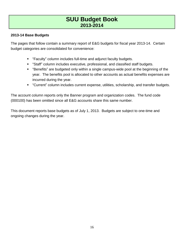### **2013-14 Base Budgets**

The pages that follow contain a summary report of E&G budgets for fiscal year 2013-14. Certain budget categories are consolidated for convenience:

- **Faculty**" column includes full-time and adjunct faculty budgets.
- "Staff" column includes executive, professional, and classified staff budgets.
- "Benefits" are budgeted only within a single campus-wide pool at the beginning of the year. The benefits pool is allocated to other accounts as actual benefits expenses are incurred during the year.
- "Current" column includes current expense, utilities, scholarship, and transfer budgets.

The account column reports only the Banner program and organization codes. The fund code (000100) has been omitted since all E&G accounts share this same number.

This document reports base budgets as of July 1, 2013. Budgets are subject to one-time and ongoing changes during the year.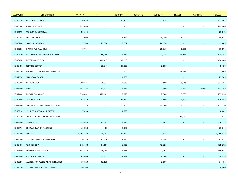| <b>ACCOUNT</b> | <b>DESCRIPTION</b>               | <b>FACULTY</b>           | <b>STAFF</b>             | <b>HOURLY</b>            | <b>BENEFITS</b>          | <b>CURRENT</b>           | <b>TRAVEL</b> | <b>CAPITAL</b> | <b>TOTALS</b> |
|----------------|----------------------------------|--------------------------|--------------------------|--------------------------|--------------------------|--------------------------|---------------|----------------|---------------|
| 10-10020       | <b>ACADEMIC AFFAIRS</b>          | 229,932                  |                          | 196,399                  |                          | 97,575                   |               |                | 523,906       |
| 10-10060       | SUMMER SCHOOL                    | 799,660                  |                          |                          |                          |                          |               |                | 799,660       |
| 10-10092       | FACULTY SABBATICAL               | 23,012                   |                          |                          |                          |                          |               |                | 23,012        |
| 10-10245       | <b>VENTURE COURSE</b>            | 18,000                   | $\overline{\phantom{a}}$ | 13,847                   | $\overline{\phantom{a}}$ | 18,140                   | 1,000         |                | 50,987        |
| 10-10260       | HONORS PROGRAM                   | 7,700                    | 25,878                   | 5,757                    |                          | 24,070                   |               |                | 63,405        |
| 10-10280       | ENVIRONMENTAL EDUC               | 10,711                   | $\sim$                   | $\sim$                   |                          | 25,665                   | 1,500         |                | 37,876        |
| 10-10320       | ACADEMIC CONFS & PUBLICATIONS    |                          | 36,250                   | 4,912                    |                          | 71,715                   | 15,875        |                | 128,752       |
| 10-10420       | TUTORING CENTER                  | $\overline{\phantom{a}}$ | 116,417                  | 68,263                   |                          | $\sim$                   | $\sim$        |                | 184,680       |
| 10-10450       | <b>TESTING CENTER</b>            |                          | 25,341                   | 21,088                   |                          | 2,000                    |               |                | 48,429        |
| 10-12020       | PVA FACULTY SCHOLARLY SUPPORT    |                          | $\overline{\phantom{a}}$ | $\overline{\phantom{a}}$ |                          | $\sim$                   | 17,469        |                | 17,469        |
| 10-12030       | <b>BALLROOM DANCE</b>            |                          | $\overline{\phantom{a}}$ | 23,585                   |                          |                          |               |                | 23,585        |
| 10-12200       | ART & DESIGN                     | 759,535                  | 26,327                   | 5,050                    |                          | 7,500                    | 5,945         |                | 804,357       |
| 10-12300       | <b>MUSIC</b>                     | 583,253                  | 27,231                   | 4,765                    |                          | 7,500                    | 4,550         | 6,000          | 633,299       |
| 10-12400       | THEATRE & DANCE                  | 594,062                  | 120,189                  | 7,070                    |                          | 7,500                    | 5,005         |                | 733,826       |
| 10-12500       | <b>MFA PROGRAM</b>               | 81,868                   | $\blacksquare$           | 49,320                   |                          | 4,500                    | 2,500         |                | 138,188       |
| 10-12700       | CENTER FOR SHAKESPEARE STUDIES   | 77,770                   | $\overline{\phantom{a}}$ | $\sim$                   |                          | 35,000                   | 5,000         |                | 117,770       |
| 10-13010       | HSS INSTRUCTIONAL RESERVE        | 17,033                   |                          | 1,028                    |                          |                          |               |                | 18,061        |
| 10-13020       | HSS FACULTY SCHOLARLY SUPPORT    | $\sim$                   | $\overline{\phantom{a}}$ | $\overline{\phantom{a}}$ |                          | $\overline{\phantom{a}}$ | 32,977        |                | 32,977        |
| 10-13100       | <b>COMMUNICATIONS</b>            | 559,440                  | 25,503                   | 17,675                   |                          | 13,605                   |               |                | 616,223       |
| 10-13190       | <b>COMMUNICATION MASTERS</b>     | 63,224                   | 480                      | 4,040                    |                          | $\overline{\phantom{a}}$ |               |                | 67,744        |
| 10-13200       | <b>ENGLISH</b>                   | 1,008,240                | 24,907                   | 36,360                   |                          | 17,441                   |               |                | 1,086,948     |
| 10-13300       | FOREIGN LANG & PHILOSOPHY        | 550,330                  | 23,156                   | 13,130                   |                          | 10,796                   |               |                | 597,412       |
| 10-13400       | <b>PSYCHOLOGY</b>                | 642,188                  | 64,601                   | 16,160                   |                          | 12,323                   |               |                | 735,272       |
| 10-13600       | HISTORY & SOCIOLOGY              | 613,814                  | 28,098                   | 11,514                   |                          | 12,391                   |               |                | 665,817       |
| 10-13700       | POLI SCI & CRIM JUST             | 509,406                  | 30,475                   | 13,837                   |                          | 16,360                   |               |                | 570,078       |
| 10-13750       | MASTERS OF PUBLIC ADMINISTRATION | 78,820                   | 13,635                   |                          |                          | 2,000                    |               |                | 94,455        |
| 10-13770       | MASTERS OF FORENSIC SCIENCE      | 10,400                   | $\sim$                   |                          |                          | $\sim$                   |               |                | 10,400        |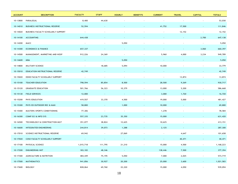| <b>ACCOUNT</b> | <b>DESCRIPTION</b>                 | <b>FACULTY</b> | <b>STAFF</b>             | <b>HOURLY</b> | <b>BENEFITS</b>          | <b>CURRENT</b>           | <b>TRAVEL</b>            | <b>CAPITAL</b> | <b>TOTALS</b> |
|----------------|------------------------------------|----------------|--------------------------|---------------|--------------------------|--------------------------|--------------------------|----------------|---------------|
| 10-13800       | PARALEGAL                          | 8,400          | 44,630                   |               |                          |                          | $\overline{\phantom{a}}$ |                | 53,030        |
| 10-14010       | BUSINESS INSTRUCTIONAL RESERVE     | 52,594         |                          |               |                          | 41,752                   | 17,500                   |                | 111,846       |
| 10-14020       | BUSINESS FACULTY SCHOLARLY SUPPORT | $\sim$         |                          |               |                          | $\overline{\phantom{a}}$ | 12,152                   |                | 12,152        |
| 10-14100       | ACCOUNTING                         | 644,438        |                          |               |                          |                          |                          | 2,700          | 647,138       |
| 10-14200       | MACC                               | $\sim$         |                          | 5,050         |                          |                          |                          | $\sim$         | 5,050         |
| 10-14300       | <b>ECONOMICS &amp; FINANCE</b>     | 657,337        |                          |               |                          |                          |                          | 3,060          | 660,397       |
| 10-14500       | MANAGEMENT, MARKETING AND HOSP     | 912,226        | 24,369                   |               |                          | 5,960                    | 4,000                    | 3,234          | 949,789       |
| 10-14600       | <b>MBA</b>                         |                |                          | 5,050         |                          |                          |                          |                | 5,050         |
| 10-14800       | MILITARY SCIENCE                   | $\sim$         | 18,685                   | 5,094         |                          | 10,000                   |                          |                | 33,779        |
| 10-15010       | EDUCATION INSTRUCTIONAL RESERVE    | 42,749         | $\overline{\phantom{a}}$ |               |                          |                          |                          |                | 42,749        |
| 10-15020       | EDHD FACULTY SCHOLARLY SUPPORT     |                | $\overline{\phantom{a}}$ |               |                          | $\overline{\phantom{a}}$ | 13,874                   |                | 13,874        |
| 10-15100       | TEACHER EDUCATION                  | 798,594        | 85,854                   | 8,500         |                          | 28,500                   | 9,269                    |                | 930,717       |
| 10-15120       | <b>GRADUATE EDUCATION</b>          | 501,766        | 56,323                   | 10,379        |                          | 13,000                   | 5,200                    |                | 586,668       |
| 10-15130       | <b>FIELD SERVICES</b>              | 12,000         |                          |               |                          | 3,000                    | 1,720                    |                | 16,720        |
| 10-15200       | PHYS EDUCATION                     | 419,557        | 33,370                   | 4,500         |                          | 19,000                   | 5,000                    |                | 481,427       |
| 10-15300       | PHYS ED OUTDOOR REC & MAN          | 58,800         |                          | 1,000         |                          | 10,000                   |                          |                | 69,800        |
| 10-15400       | MASTERS SPORTS CONDITIONING        | 77,306         | $\overline{\phantom{a}}$ | $\sim$        |                          | 1,278                    |                          |                | 78,584        |
| 10-16300       | COMP SCI & INFO SYS                | 557,335        | 23,735                   | 35,350        |                          | 15,000                   |                          |                | 631,420       |
| 10-16500       | TECHNOLOGY & CONSTRUCTION MGT      | 351,077        | 38,824                   | 12,625        |                          | 10,625                   |                          |                | 413,151       |
| 10-16600       | INTEGRATED ENGINEERING             | 244,814        | 39,073                   | 1,288         |                          | 2,125                    |                          |                | 287,300       |
| 10-17010       | SCIENCE INSTRUCTIONAL RESERVE      | 69,942         | $\sim$                   | 27,069        |                          |                          | 4,647                    |                | 101,658       |
| 10-17020       | COSE FACULTY SCHOLARLY SUPPORT     |                |                          |               |                          |                          | 40,471                   |                | 40,471        |
| 10-17100       | PHYSICAL SCIENCE                   | 1,015,718      | 111,795                  | 21,210        |                          | 15,000                   | 4,500                    |                | 1,168,223     |
| 10-17200       | <b>ENGINEERING INIT</b>            | 183,102        | 48,346                   |               |                          | 138,446                  | 7,500                    | $\sim$         | 377,394       |
| 10-17300       | AGRICULTURE & NUTRITION            | 484,449        | 75,195                   | 5,050         | $\overline{\phantom{a}}$ | 7,000                    | 2,025                    | $\sim$         | 573,719       |
| 10-17500       | <b>MATHEMATICS</b>                 | 941,856        | 30,927                   | 20,200        | $\sim$                   | 25,000                   | 3,600                    | $\sim$         | 1,021,583     |
| 10-17600       | <b>BIOLOGY</b>                     | 828,064        | 69,760                   | 22,220        | $\overline{\phantom{a}}$ | 15,000                   | 4,050                    | $\blacksquare$ | 939,094       |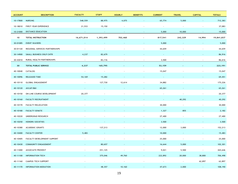| <b>ACCOUNT</b> | <b>DESCRIPTION</b>             | <b>FACULTY</b>           | <b>STAFF</b>             | <b>HOURLY</b> | <b>BENEFITS</b>          | <b>CURRENT</b>           | <b>TRAVEL</b>            | <b>CAPITAL</b>  | <b>TOTALS</b> |
|----------------|--------------------------------|--------------------------|--------------------------|---------------|--------------------------|--------------------------|--------------------------|-----------------|---------------|
| 10-17800       | <b>NURSING</b>                 | 548,559                  | 88,975                   | 4,075         |                          | 65,774                   | 5,000                    |                 | 712,383       |
| 10-18010       | FIRST-YEAR EXPERIENCE          | 21,933                   | 15,150                   | $\sim$        |                          | $\overline{\phantom{a}}$ | $\overline{\phantom{a}}$ |                 | 37,083        |
| 10-21000       | DISTANCE EDUCATION             | $\sim$                   | $\sim$                   |               |                          | 5,000                    | 10,000                   |                 | 15,000        |
| 10             | TOTAL INSTRUCTION              | 16,671,014               | 1,393,499                | 702,460       | $\overline{\phantom{a}}$ | 817,541                  | 242,329                  | 14,994          | 19,841,837    |
| 30-01085       | <b>EVENT WAIVERS</b>           |                          |                          |               |                          | 5,000                    |                          |                 | 5,000         |
| 30-01120       | REGIONAL SERVICES PARTNERSHIPS | $\overline{\phantom{a}}$ | $\overline{\phantom{a}}$ |               |                          | 44,659                   |                          |                 | 44,659        |
| 30-14900       | SMALL BUSINESS DVLP CNTR       | 4,237                    | 82,679                   |               |                          |                          |                          |                 | 86,916        |
| 30-43010       | RURAL HEALTH PARTNERSHIPS      | $\overline{\phantom{a}}$ | 83,116                   |               | $\overline{\phantom{a}}$ | 3,500                    |                          |                 | 86,616        |
| 30             | <b>TOTAL PUBLIC SERVICE</b>    | 4,237                    | 165,795                  |               |                          | 53,159                   |                          |                 | 223,191       |
| 40-10040       | CATALOG                        | $\overline{\phantom{a}}$ | $\overline{\phantom{a}}$ |               |                          | 15,047                   |                          |                 | 15,047        |
| 40-10096       | <b>RELEASED TIME</b>           | 54,169                   | 15,282                   |               |                          |                          |                          |                 | 69,451        |
| 40-10110       | <b>GLOBAL ENGAGEMENT</b>       | $\sim$                   | 127,730                  | 12,614        |                          | 34,882                   |                          |                 | 175,226       |
| 40-10120       | ASCAP/BMI                      |                          |                          |               |                          | 65,261                   |                          |                 | 65,261        |
| 40-10150       | ON-LINE COURSE DEVELOPMENT     | 20,377                   |                          |               |                          | $\overline{\phantom{a}}$ |                          |                 | 20,377        |
| 40-10160       | <b>FACULTY RECRUITMENT</b>     |                          |                          |               |                          |                          | 40,292                   |                 | 40,292        |
| 40-10170       | FACULTY RELOCATION             |                          |                          |               |                          | 30,000                   | $\overline{\phantom{a}}$ |                 | 30,000        |
| 40-10180       | <b>FACULTY SENATE</b>          |                          |                          |               |                          | 1,327                    | 855                      |                 | 2,182         |
| 40-10220       | UNDERGRAD RESEARCH             |                          |                          |               |                          | 27,400                   | $\overline{\phantom{a}}$ |                 | 27,400        |
| 40-10250       | HONORS SOCIETIES               |                          |                          |               |                          | 3,500                    |                          |                 | 3,500         |
| 40-10380       | <b>ACADEMIC GRANTS</b>         | $\sim$                   | 137,213                  |               |                          | 12,000                   | 3,000                    |                 | 152,213       |
| 40-10400       | <b>FACULTY CENTER</b>          | 5,483                    |                          |               |                          | 10,000                   |                          |                 | 15,483        |
| 40-10405       | FACULTY DEVELOPMENT SUPPORT    | $\overline{\phantom{a}}$ | $\overline{\phantom{a}}$ |               |                          | 25,000                   | $\sim$                   |                 | 25,000        |
| 40-10430       | <b>COMMUNITY ENGAGEMENT</b>    |                          | 80,657                   |               |                          | 16,644                   | 5,000                    |                 | 102,301       |
| 40-11000       | <b>ASSOCIATE PROVOST</b>       |                          | 251,125                  |               |                          | 9,021                    | 5,500                    | $\sim$          | 265,646       |
| 40-11100       | <b>INFORMATION TECH</b>        |                          | 375,046                  | 49,760        |                          | 222,892                  | 20,000                   | 38,800          | 706,498       |
| 40-11160       | <b>CAMPUS TECH SUPPORT</b>     | $\overline{\phantom{a}}$ | $\sim$                   | $\sim$        | $\sim$                   | $\sim$                   | $\sim$                   | 62,897          | 62,897        |
| 40-11170       | <b>INFORMATION MEDIATION</b>   | $\sim$                   | 48,357                   | 10,160        | $\sim$                   | 47,673                   | 2,000                    | $\sim 10^{-11}$ | 108,190       |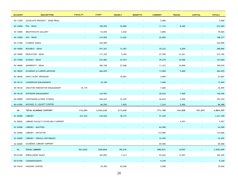| <b>ACCOUNT</b> | <b>DESCRIPTION</b>                | <b>FACULTY</b>           | <b>STAFF</b>             | <b>HOURLY</b>            | <b>BENEFITS</b> | <b>CURRENT</b> | <b>TRAVEL</b>            | <b>CAPITAL</b>           | <b>TOTALS</b> |
|----------------|-----------------------------------|--------------------------|--------------------------|--------------------------|-----------------|----------------|--------------------------|--------------------------|---------------|
| 40-11200       | ASSOCIATE PROVOST - GRAD PROG     |                          | $\overline{\phantom{a}}$ | $\overline{\phantom{a}}$ |                 | 5,000          |                          |                          | 5,000         |
| 40-12000       | PVA - DEAN                        |                          | 180,949                  | 20,886                   |                 | 11,734         | 8,500                    |                          | 222,069       |
| 40-12800       | <b>BRAITHWAITE GALLERY</b>        |                          | 53,045                   | 2,020                    |                 | 4,000          | $\overline{\phantom{a}}$ |                          | 59,065        |
| 40-13000       | HSS - DEAN                        |                          | 147,820                  | 13,652                   |                 | 26,805         |                          |                          | 188,277       |
| 40-13180       | STUDENT MEDIA                     |                          | 226,989                  | $\overline{\phantom{a}}$ |                 | $\sim$         |                          |                          | 226,989       |
| 40-14000       | <b>BUSINESS - DEAN</b>            |                          | 251,261                  | 12,403                   |                 | 20,222         | 5,000                    |                          | 288,886       |
| 40-15000       | <b>EDUCATION - DEAN</b>           |                          | 171,765                  | 3,456                    |                 | 27,700         | 12,261                   |                          | 215,182       |
| 40-17000       | <b>SCIENCE - DEAN</b>             |                          | 241,882                  | 22,924                   |                 | 49,278         | 10,000                   |                          | 324,084       |
| 40-18000       | UNIVERSITY - DEAN                 |                          | 350,108                  | 27,608                   |                 | 11,323         | 10,000                   |                          | 399,039       |
| 40-18020       | ACADEMIC & CAREER ADVISING        |                          | 466,695                  |                          |                 | 13,000         | 5,000                    |                          | 484,695       |
| 40-18040       | EARLY ALERT PROGRAM               |                          | $\sim$                   | 18,007                   |                 | 4,000          | $\overline{\phantom{a}}$ |                          | 22,007        |
| 40-18110       | LEADERSHIP ENGAGEMENT             |                          | 10,189                   |                          |                 | 7,680          |                          |                          | 17,869        |
| 40-18120       | CREATIVE/INNOVATIVE ENGAGEMENT    | 35,175                   |                          |                          |                 | 7,680          |                          |                          | 42,855        |
| 40-18130       | <b>OUTDOOR ENGAGEMENT</b>         |                          | 124,952                  |                          |                 | 28,044         | 7,500                    |                          | 160,496       |
| 40-20000       | CONTINUING & PROF STUDIES         |                          | 206,625                  | 16,435                   |                 | 26,834         | 4,500                    |                          | 254,394       |
| 40-41500       | MICHAEL O. LEAVITT CENTER         |                          | 66,550                   | 7,695                    |                 | 7,243          | 5,000                    |                          | 86,488        |
| 40             | TOTAL ACADEMIC SUPPORT            | 115,204                  | 3,534,240                | 217,620                  |                 | 771,190        | 144,408                  | 101,697                  | 4,884,359     |
| 42-30000       | LIBRARY                           | 521,032                  | 530,604                  | 78,315                   |                 | 91,439         |                          |                          | 1,221,390     |
| 42-30020       | LIBRARY FACULTY SCHOLARLY SUPPORT | $\sim$                   | $\sim$                   | $\overline{\phantom{a}}$ |                 | $\sim$         | 4,557                    |                          | 4,557         |
| 42-32000       | LIBRARY - MASTERS                 |                          |                          |                          |                 | 64,500         |                          |                          | 64,500        |
| 42-33000       | LIBRARY - INITIATIVE              |                          |                          |                          |                 | 133,000        |                          |                          | 133,000       |
| 42-34000       | LIBRARY - SERIALS/DATABASES       |                          |                          |                          |                 | 32,492         |                          |                          | 32,492        |
| 42-36000       | ACADEMIC LIBRARY SUPPORT          |                          |                          |                          |                 | 69,500         |                          |                          | 69,500        |
| 42             | <b>TOTAL LIBRARY</b>              | 521,032                  | 530,604                  | 78,315                   |                 | 390,931        | 4,557                    |                          | 1,525,439     |
| 50-01450       | <b>ENROLLMENT MGMT</b>            | $\sim$                   | 187,893                  | 7,413                    |                 | 93,042         | 13,957                   | $\overline{\phantom{a}}$ | 302,305       |
| 50-01700       | COMMENCEMENT                      |                          |                          |                          |                 | 9,249          |                          |                          | 9,249         |
| 50-10410       | HISPANIC CENTER                   | $\overline{\phantom{a}}$ | 45,450                   | 20,200                   | $\sim$          | 5,000          | $\sim$                   | $\overline{\phantom{a}}$ | 70,650        |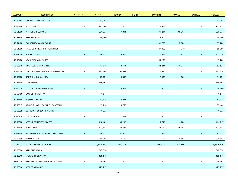| <b>ACCOUNT</b> | <b>DESCRIPTION</b>                | <b>FACULTY</b>           | <b>STAFF</b> | <b>HOURLY</b>            | <b>BENEFITS</b> | <b>CURRENT</b>           | <b>TRAVEL</b>            | <b>CAPITAL</b>           | <b>TOTALS</b> |
|----------------|-----------------------------------|--------------------------|--------------|--------------------------|-----------------|--------------------------|--------------------------|--------------------------|---------------|
| 50-10444       | UNIVERSITY ORIENTATION            |                          | 33,153       |                          |                 |                          |                          |                          | 33,153        |
| 50-10480       | REGISTRAR                         |                          | 243,146      | $\overline{a}$           |                 | 18,683                   |                          |                          | 261,829       |
| 50-51000       | <b>VP STUDENT SERVICES</b>        |                          | 291,336      | 7,011                    |                 | 31,214                   | 10,213                   |                          | 339,774       |
| 50-51300       | RESIDENCE LIFE                    |                          | 30,300       |                          |                 | 8,000                    | $\overline{\phantom{a}}$ |                          | 38,300        |
| 50-51400       | <b>EMERGENCY MANAGEMENT</b>       |                          |              |                          |                 | 31,700                   | 7,500                    |                          | 39,200        |
| 50-51500       | STRATEGIC PLANNING/RETENTION      |                          |              |                          |                 | 49,460                   | 740                      |                          | 50,200        |
| 50-52000       | ADA PROGRAM                       |                          | 74,219       | 9,478                    |                 | 12,028                   | 5,811                    |                          | 101,536       |
| 50-52100       | ADA HEARING IMPAIRED              |                          | $\sim$       | $\overline{\phantom{a}}$ |                 | 43,200                   | $\sim$                   |                          | 43,200        |
| 50-52540       | MULTICULTURAL CENTER              |                          | 47,048       | 3,191                    |                 | 32,244                   | 1,343                    |                          | 83,826        |
| 50-53000       | CAREER & PROFESSIONAL DEVELOPMENT |                          | 121,288      | 50,092                   |                 | 1,846                    | $\sim$                   |                          | 173,226       |
| 50-55200       | DRUG & ALCOHOL PREV               |                          | 23,021       | 5,050                    |                 | 2,500                    | 500                      |                          | 31,071        |
| 50-55300       | COUNSELING                        |                          | 359,997      | $\overline{\phantom{a}}$ |                 | $\overline{\phantom{a}}$ |                          |                          | 359,997       |
| 50-55350       | CENTER FOR WOMEN & FAMILY         |                          |              | 4,064                    |                 | 12,000                   |                          |                          | 16,064        |
| 50-55400       | <b>CAMPUS RECREATION</b>          |                          | 41,544       | $\overline{\phantom{a}}$ |                 |                          |                          |                          | 41,544        |
| 50-55450       | <b>AQUATIC CENTER</b>             |                          | 33,935       | 7,078                    |                 |                          |                          |                          | 41,013        |
| 50-56015       | STUDENT INVOLVEMENT & LEADERSHIP  |                          | 69,716       | 13,750                   |                 |                          |                          |                          | 83,466        |
| 50-56025       | OUTDOOR RECREATION CNTR           |                          | 41,233       |                          |                 |                          |                          |                          | 41,233        |
| 50-56750       | CHEERLEADERS                      |                          | $\sim$       | 17,357                   |                 | $\overline{\phantom{a}}$ | $\sim$                   |                          | 17,357        |
| 50-58000       | ASST VP STUDENT SERVICES          |                          | 110,681      | 30,240                   |                 | 19,796                   | 4,000                    |                          | 164,717       |
| 50-58500       | ADMISSIONS                        |                          | 407,414      | 124,736                  |                 | 274,110                  | 16,188                   |                          | 822,448       |
| 50-59100       | INTERNATIONAL STUDENT ENGAGEMENT  |                          | 46,253       | 31,000                   |                 | 17,876                   |                          |                          | 95,129        |
| 50-59500       | FINANCIAL AID                     |                          | 281,286      | 10,558                   |                 | 16,162                   | 1,007                    | $\blacksquare$           | 309,013       |
| 50             | TOTAL STUDENT SERVICES            | $\overline{\phantom{a}}$ | 2,488,913    | 341,218                  |                 | 678,110                  | 61,259                   |                          | 3,569,500     |
| 52-80000       | ATHLETIC ADMIN                    |                          | 347,536      |                          |                 |                          |                          |                          | 347,536       |
| 52-80010       | SPORTS INFORMATION                |                          | 108,648      |                          |                 |                          |                          |                          | 108,648       |
| 52-80020       | ATHLETIC MARKETING & PROMOTIONS   |                          | 28,563       |                          |                 |                          |                          | $\overline{\phantom{a}}$ | 28,563        |
| 52-80060       | SPORTS MEDICINE                   |                          | 123,297      |                          |                 |                          |                          |                          | 123,297       |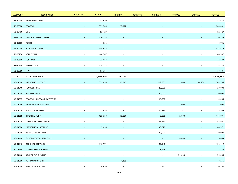| <b>ACCOUNT</b> | <b>DESCRIPTION</b>            | <b>FACULTY</b>           | <b>STAFF</b>             | <b>HOURLY</b>            | <b>BENEFITS</b> | <b>CURRENT</b>           | <b>TRAVEL</b>            | <b>CAPITAL</b>           | <b>TOTALS</b> |
|----------------|-------------------------------|--------------------------|--------------------------|--------------------------|-----------------|--------------------------|--------------------------|--------------------------|---------------|
| 52-80200       | MEN'S BASKETBALL              |                          | 212,670                  | $\overline{a}$           |                 |                          |                          |                          | 212,670       |
| 52-80300       | <b>FOOTBALL</b>               |                          | 339,704                  | 20,377                   |                 |                          |                          |                          | 360,081       |
| 52-80400       | GOLF                          |                          | 52,429                   | $\overline{\phantom{a}}$ |                 |                          |                          |                          | 52,429        |
| 52-80500       | TRACK & CROSS COUNTRY         |                          | 130,334                  |                          |                 |                          |                          |                          | 130,334       |
| 52-80600       | <b>TENNIS</b>                 |                          | 44,736                   |                          |                 |                          |                          |                          | 44,736        |
| 52-80700       | WOMEN'S BASKETBALL            |                          | 145,514                  |                          |                 |                          |                          |                          | 145,514       |
| 52-80750       | VOLLEYBALL                    |                          | 108,587                  |                          |                 |                          |                          |                          | 108,587       |
| 52-80800       | SOFTBALL                      |                          | 72,187                   |                          |                 |                          |                          |                          | 72,187        |
| 52-80900       | <b>GYMNASTICS</b>             |                          | 124,333                  |                          |                 |                          |                          |                          | 124,333       |
| 52-80950       | SOCCER                        |                          | 67,781                   | $\sim$                   |                 |                          | $\blacksquare$           |                          | 67,781        |
| 52             | <b>TOTAL ATHLETICS</b>        | $\overline{\phantom{a}}$ | 1,906,319                | 20,377                   |                 | $\overline{\phantom{a}}$ | $\overline{\phantom{a}}$ | $\overline{\phantom{a}}$ | 1,926,696     |
| 60-01000       | PRESIDENT'S OFFICE            |                          | 379,016                  | 16,840                   |                 | 129,830                  | 9,849                    | 14,230                   | 549,765       |
| 60-01010       | <b>FOUNDERS DAY</b>           |                          | $\overline{\phantom{a}}$ |                          |                 | 20,000                   | $\overline{\phantom{a}}$ | $\blacksquare$           | 20,000        |
| 60-01030       | <b>HOLIDAY GALA</b>           |                          |                          |                          |                 | 20,000                   |                          |                          | 20,000        |
| 60-01035       | FOOTBALL PREGAME ACTIVITIES   |                          |                          |                          |                 | 10,000                   | $\sim$                   |                          | 10,000        |
| 60-01045       | FACULTY ATHLETIC REP          |                          |                          |                          |                 |                          | 1,000                    |                          | 1,000         |
| 60-01050       | <b>BOARD OF TRUSTEES</b>      |                          | 5,094                    |                          |                 | 16,924                   | 7,571                    |                          | 29,589        |
| 60-01055       | <b>INTERNAL AUDIT</b>         |                          | 122,750                  | 16,021                   |                 | 5,000                    | 2,000                    |                          | 145,771       |
| 60-01070       | CAMPUS ACCREDITATION          |                          | $\overline{\phantom{a}}$ | $\sim$                   |                 | 48,961                   | $\sim$                   | $\blacksquare$           | 48,961        |
| 60-01080       | PRESIDENTIAL RESERVE          |                          | 5,494                    |                          |                 | 43,078                   |                          |                          | 48,572        |
| 60-01090       | <b>INSTITUTIONAL EVENTS</b>   |                          | $\sim$                   | $\overline{a}$           | $\sim$          | 30,000                   | $\overline{\phantom{a}}$ | $\overline{\phantom{a}}$ | 30,000        |
| 60-01100       | <b>GOVERNMENTAL RELATIONS</b> |                          |                          |                          |                 | $\sim$                   | 8,659                    |                          | 8,659         |
| 60-01110       | REGIONAL SERVICES             | $\overline{\phantom{a}}$ | 110,971                  |                          |                 | 25,148                   | $\overline{\phantom{a}}$ |                          | 136,119       |
| 60-01150       | TOURNAMENTS & RECOG           |                          |                          |                          |                 | 8,426                    |                          |                          | 8,426         |
| 60-01160       | STAFF DEVELOPMENT             |                          | $\overline{\phantom{a}}$ | ÷                        |                 | $\sim$                   | 25,000                   | $\blacksquare$           | 25,000        |
| 60-01200       | PEP BAND SUPPORT              |                          |                          | 7,255                    |                 |                          |                          |                          | 7,255         |
| 60-01300       | STAFF ASSOCIATION             | $\overline{\phantom{a}}$ | 4,450                    | $\sim$                   | $\sim$          | 5,740                    | $\blacksquare$           | $\overline{\phantom{a}}$ | 10,190        |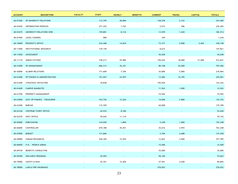| <b>ACCOUNT</b> | <b>DESCRIPTION</b>          | <b>FACULTY</b>           | <b>STAFF</b> | <b>HOURLY</b>            | <b>BENEFITS</b>          | <b>CURRENT</b>           | <b>TRAVEL</b> | <b>CAPITAL</b>           | <b>TOTALS</b> |
|----------------|-----------------------------|--------------------------|--------------|--------------------------|--------------------------|--------------------------|---------------|--------------------------|---------------|
| 60-01500       | VP UNIVERSITY RELATIONS     |                          | 112,795      | 28,084                   |                          | 128,278                  | 5,332         |                          | 274,489       |
| 60-01650       | <b>INFORMATION SERVICES</b> | $\overline{\phantom{a}}$ | 271,322      | 1,722                    |                          | 2,915                    | 506           | $\overline{\phantom{a}}$ | 276,465       |
| 60-01675       | UNIVERSITY RELATIONS WEB    |                          | 159,801      | 8,134                    |                          | 13,559                   | 1,420         |                          | 182,914       |
| 60-01900       | LEGAL COUNSEL               |                          | 900          | $\sim$                   |                          | 344                      | $\sim$        | $\overline{\phantom{a}}$ | 1,244         |
| 60-10000       | PROVOST'S OFFICE            |                          | 234,468      | 14,654                   |                          | 73,371                   | 5,000         | 2,665                    | 330,158       |
| 60-11040       | INSTITUTIONAL RESEARCH      |                          | 139,149      | $\overline{\phantom{a}}$ |                          | 8,672                    | $\sim$        | $\overline{\phantom{a}}$ | 147,821       |
| 60-11050       | ASSESSMENT                  |                          |              |                          |                          | 45,658                   |               |                          | 45,658        |
| 60-11110       | <b>ADMIN SYSTEMS</b>        |                          | 738,213      | 29,986                   | $\overline{\phantom{a}}$ | 105,642                  | 18,000        | 21,000                   | 912,841       |
| 60-41000       | VP ADVANCEMENT              |                          | 606,313      | 76,341                   |                          | 89,748                   | 25,000        |                          | 797,402       |
| 60-42000       | ALUMNI RELATIONS            |                          | 171,609      | 7,356                    |                          | 35,000                   | 5,000         | $\sim$                   | 218,965       |
| 60-61000       | VP FINANCE & ADMINISTRATION |                          | 191,027      | 24,597                   |                          | 13,482                   | 16,795        |                          | 245,901       |
| 60-61500       | STRATEGIC INITIATIVES       |                          | 18,838       | $\overline{\phantom{a}}$ |                          | 105,504                  | $\sim$        |                          | 124,342       |
| 60-61600       | <b>CAMPUS MANDATES</b>      |                          |              |                          |                          | 11,563                   | 1,000         |                          | 12,563        |
| 60-61700       | PROPERTY MANAGEMENT         |                          |              |                          |                          | 74,502                   |               |                          | 74,502        |
| 60-63000       | ASST VP FINANCE - TREASURER |                          | 103,726      | 12,226                   |                          | 14,000                   | 2,800         |                          | 132,752       |
| 60-63300       | <b>BURSAR</b>               |                          | 115,709      | $\sim$                   |                          | 60,000                   |               |                          | 175,709       |
| 60-63330       | CENTRUM TICKET OFFICE       |                          | 44,934       | 8,706                    |                          |                          |               |                          | 53,640        |
| 60-63370       | POST OFFICE                 |                          | 59,042       | 11,110                   |                          | $\overline{\phantom{a}}$ |               |                          | 70,152        |
| 60-65000       | <b>PURCHASING</b>           |                          | 144,050      | 1,860                    |                          | 5,438                    | 1,000         |                          | 152,348       |
| 60-66000       | CONTROLLER                  |                          | 670,188      | 45,451                   |                          | 43,616                   | 3,993         |                          | 763,248       |
| 60-67000       | <b>BUDGET</b>               |                          | 131,866      |                          |                          | 2,704                    | 2,688         |                          | 137,258       |
| 60-69000       | HUMAN RESOURCES             |                          | 246,369      | 15,594                   |                          | 12,822                   | 3,000         |                          | 277,785       |
| 60-69050       | H.R. - PEOPLE ADMIN         |                          |              |                          |                          | 15,500                   |               |                          | 15,500        |
| 60-69150       | BENEFITS CONSULTING         |                          |              |                          |                          | 35,000                   |               |                          | 35,000        |
| 60-69300       | <b>WELLNESS PROGRAM</b>     |                          | 25,503       |                          |                          | 50,160                   |               |                          | 75,663        |
| 60-75000       | SAFETY & RISK               |                          | 45,701       | 12,500                   | $\overline{\phantom{a}}$ | 27,491                   | 4,200         | $\blacksquare$           | 89,892        |
| 60-78000       | LIAB & FIRE INSURANCE       |                          |              |                          |                          | 270,022                  |               |                          | 270,022       |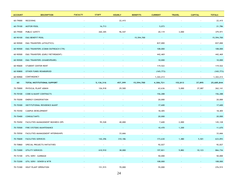| <b>ACCOUNT</b> | <b>DESCRIPTION</b>                 | <b>FACULTY</b> | <b>STAFF</b>             | <b>HOURLY</b>            | <b>BENEFITS</b>          | <b>CURRENT</b> | <b>TRAVEL</b>            | <b>CAPITAL</b>           | <b>TOTALS</b> |
|----------------|------------------------------------|----------------|--------------------------|--------------------------|--------------------------|----------------|--------------------------|--------------------------|---------------|
| 60-79000       | RECEIVING                          |                | $\overline{\phantom{a}}$ | 22,415                   |                          |                |                          |                          | 22,415        |
| 60-79100       | MOTOR POOL                         |                | 16,713                   |                          |                          | 5,073          |                          |                          | 21,786        |
| 60-79500       | PUBLIC SAFETY                      |                | 260,305                  | 96,547                   |                          | 20,119         | 3,000                    |                          | 379,971       |
| 60-90100       | E&G BENEFIT POOL                   |                |                          |                          | 15,594,700               |                |                          |                          | 15,594,700    |
| 60-90500       | E&G TRANSFERS (ATHLETICS)          |                |                          |                          |                          | 837,000        |                          |                          | 837,000       |
| 60-90500       | E&G TRANSFERS (COMM OUTREACH CTR)  |                |                          |                          |                          | 108,000        |                          |                          | 108,000       |
| 60-90500       | E&G TRANSFERS (EARLY RETIREMENT)   |                |                          |                          |                          | 442,469        |                          |                          | 442,469       |
| 60-90500       | E&G TRANSFERS (SHAKESPEARE)        |                |                          |                          |                          | 10,000         |                          |                          | 10,000        |
| 60-90600       | STUDENT CENTER RENT                |                |                          |                          |                          | 119,522        |                          |                          | 119,522       |
| 60-90800       | OTHER FUNDS REIMBURSED             |                |                          |                          |                          | (165, 773)     |                          |                          | (165, 773)    |
| 60-90900       | CONTINGENCY                        |                | $\overline{\phantom{a}}$ | $\overline{\phantom{a}}$ |                          | 1,322,213      |                          | $\overline{\phantom{a}}$ | 1,322,213     |
| 60             | TOTAL INSTITUTIONAL SUPPORT        |                | 5,136,316                | 457,399                  | 15,594,700               | 4,306,721      | 152,813                  | 37,895                   | 25,685,844    |
| 70-70000       | PHYSICAL PLANT ADMIN               |                | 126,918                  | 29,500                   |                          | 63,636         | 5,000                    | 37,087                   | 262,141       |
| 70-70100       | <b>CODE &amp; MAINT CONTRACTS</b>  |                |                          |                          |                          | 156,288        |                          |                          | 156,288       |
| 70-70200       | <b>ENERGY CONSERVATION</b>         |                |                          |                          |                          | 20,000         |                          |                          | 20,000        |
| 70-70300       | INSTITUTIONAL RESIDENCE MAINT      |                |                          |                          |                          | 17,600         |                          |                          | 17,600        |
| 70-70350       | CAMPUS DEVELOPMENT                 |                |                          |                          |                          | 18,405         |                          |                          | 18,405        |
| 70-70400       | <b>CONSULTANTS</b>                 |                |                          |                          |                          | 20,000         |                          |                          | 20,000        |
| 70-70450       | FACILITIES MANAGEMENT BUSINESS OPS |                | 95,528                   | 40,000                   |                          | 7,600          | 2,000                    |                          | 145,128       |
| 70-70500       | FIRE SYSTEMS MAINTENANCE           |                |                          |                          |                          | 10,470         | 1,200                    |                          | 11,670        |
| 70-70550       | FACILITIES MANAGEMENT INTERNSHIPS  |                | $\overline{\phantom{a}}$ | 33,666                   |                          |                | $\overline{\phantom{a}}$ |                          | 33,666        |
| 70-70600       | <b>FACILITIES SERVICES</b>         |                | 142,296                  | 310,186                  |                          | 173,630        | 1,480                    | 5,501                    | 633,093       |
| 70-70860       | SPECIAL PROJECTS/INITIATIVES       |                | $\overline{\phantom{a}}$ | $\overline{\phantom{a}}$ |                          | 92,027         |                          | $\sim$                   | 92,027        |
| 70-72000       | UTILITY SERVICES                   |                | 610,910                  | 38,000                   |                          | 197,821        | 9,882                    | 10,123                   | 866,736       |
| 70-72100       | UTIL SERV - GARBAGE                |                | $\sim$                   | $\sim$                   | $\overline{\phantom{a}}$ | 50,000         | $\sim$                   | $\sim$                   | 50,000        |
| 70-72200       | UTIL SERV - SEWER & WTR            |                |                          |                          |                          | 108,000        |                          | $\blacksquare$           | 108,000       |
| 70-72300       | HEAT PLANT OPERATION               | $\sim$         | 151,915                  | 70,000                   | $\overline{\phantom{a}}$ | 55,000         | $\overline{\phantom{a}}$ | $\overline{\phantom{a}}$ | 276,915       |